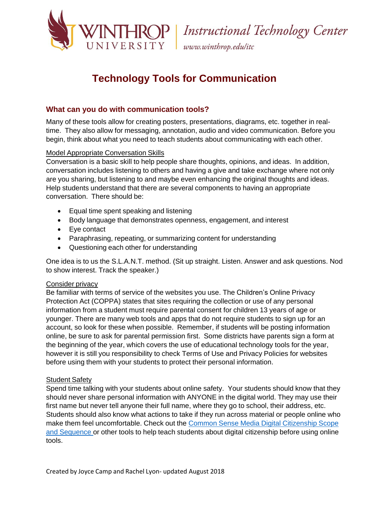

www.winthrop.edulitc

# **Technology Tools for Communication**

## **What can you do with communication tools?**

Many of these tools allow for creating posters, presentations, diagrams, etc. together in realtime. They also allow for messaging, annotation, audio and video communication. Before you begin, think about what you need to teach students about communicating with each other.

### Model Appropriate Conversation Skills

Conversation is a basic skill to help people share thoughts, opinions, and ideas. In addition, conversation includes listening to others and having a give and take exchange where not only are you sharing, but listening to and maybe even enhancing the original thoughts and ideas. Help students understand that there are several components to having an appropriate conversation. There should be:

- **Equal time spent speaking and listening**
- Body language that demonstrates openness, engagement, and interest
- Eye contact
- Paraphrasing, repeating, or summarizing content for understanding
- Questioning each other for understanding

One idea is to us the S.L.A.N.T. method. (Sit up straight. Listen. Answer and ask questions. Nod to show interest. Track the speaker.)

### Consider privacy

Be familiar with terms of service of the websites you use. The [Children's](https://www.ftc.gov/enforcement/rules/rulemaking-regulatory-reform-proceedings/childrens-online-privacy-protection-rule) Online Privacy [Protection](https://www.ftc.gov/enforcement/rules/rulemaking-regulatory-reform-proceedings/childrens-online-privacy-protection-rule) Act (COPPA) states that sites requiring the collection or use of any personal information from a student must require parental consent for children 13 years of age or younger. There are many web tools and apps that do not require students to sign up for an account, so look for these when possible. Remember, if students will be posting information online, be sure to ask for parental permission first. Some districts have parents sign a form at the beginning of the year, which covers the use of educational technology tools for the year, however it is still you responsibility to check Terms of Use and Privacy Policies for websites before using them with your students to protect their personal information.

### Student Safety

Spend time talking with your students about online safety. Your students should know that they should never share personal information with ANYONE in the digital world. They may use their first name but never tell anyone their full name, where they go to school, their address, etc. Students should also know what actions to take if they run across material or people online who make them feel uncomfortable. Check out the Common Sense Media Digital Citizenship Scope and Sequence or other tools to help teach students about digital citizenship before using online tools.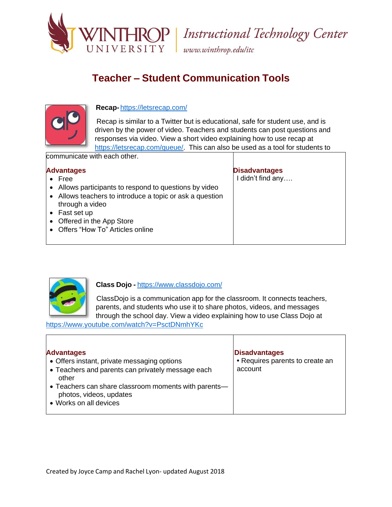

www.winthrop.edulitc

# **Teacher – Student Communication Tools**



### **Recap-** <https://letsrecap.com/>

Recap is similar to a Twitter but is educational, safe for student use, and is driven by the power of video. Teachers and students can post questions and responses via video. View a short video explaining how to use recap at [https://letsrecap.com/queue/.](https://letsrecap.com/queue/) This can also be used as a tool for students to

communicate with each other.

### **Advantages**

- Free
- Allows participants to respond to questions by video
- Allows teachers to introduce a topic or ask a question through a video
- Fast set up
- Offered in the App Store
- Offers "How To" Articles online

## **Disadvantages**

I didn't find any….



### **Class Dojo -** <https://www.classdojo.com/>

ClassDojo is a communication app for the classroom. It connects teachers, parents, and students who use it to share photos, videos, and messages through the school day. View a video explaining how to use Class Dojo at

<https://www.youtube.com/watch?v=PsctDNmhYKc>

#### **Advantages** Offers instant, private messaging options Teachers and parents can privately message each other Teachers can share classroom moments with parents photos, videos, updates Works on all devices **Disadvantages •** Requires parents to create an account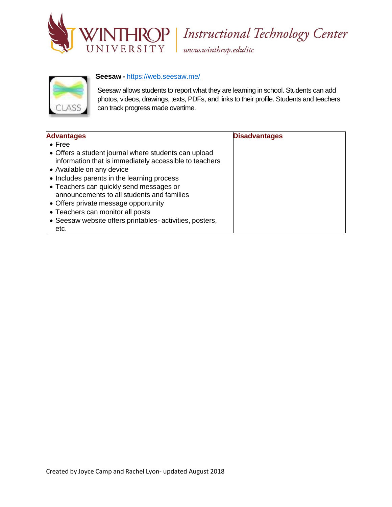

www.winthrop.edulitc

### **Seesaw -** <https://web.seesaw.me/>



Seesaw allows students to report what they are learning in school. Students can add photos, videos, drawings, texts, PDFs, and links to their profile. Students and teachers can track progress made overtime.

| <b>Advantages</b>                                                                                                                                                                         | <b>Disadvantages</b> |
|-------------------------------------------------------------------------------------------------------------------------------------------------------------------------------------------|----------------------|
| $\bullet$ Free                                                                                                                                                                            |                      |
| • Offers a student journal where students can upload<br>information that is immediately accessible to teachers<br>• Available on any device<br>• Includes parents in the learning process |                      |
| • Teachers can quickly send messages or<br>announcements to all students and families<br>• Offers private message opportunity<br>• Teachers can monitor all posts                         |                      |
| • Seesaw website offers printables-activities, posters,<br>etc.                                                                                                                           |                      |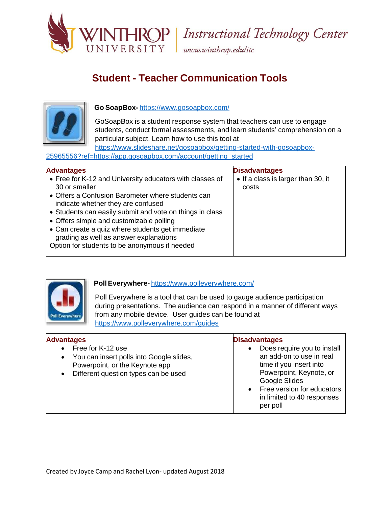

www.winthrop.edulitc

# **Student - Teacher Communication Tools**



### **Go SoapBox-** <https://www.gosoapbox.com/>

GoSoapBox is a student response system that teachers can use to engage students, conduct formal assessments, and learn students' comprehension on a particular subject. Learn how to use this tool at

https[://www.slideshare.net/gosoapbox/getting-started-with-gosoapbox-](http://www.slideshare.net/gosoapbox/getting-started-with-gosoapbox-)25965556?ref=https://app.gosoapbox.com/account/getting\_started

| <b>Advantages</b>                                        | <b>Disadvantages</b>               |
|----------------------------------------------------------|------------------------------------|
| • Free for K-12 and University educators with classes of | • If a class is larger than 30, it |
| 30 or smaller                                            | costs                              |
| • Offers a Confusion Barometer where students can        |                                    |
| indicate whether they are confused                       |                                    |
| • Students can easily submit and vote on things in class |                                    |
| • Offers simple and customizable polling                 |                                    |
| • Can create a quiz where students get immediate         |                                    |
| grading as well as answer explanations                   |                                    |
| Option for students to be anonymous if needed            |                                    |
|                                                          |                                    |



### **PollEverywhere-** <https://www.polleverywhere.com/>

Poll Everywhere is a tool that can be used to gauge audience participation during presentations. The audience can respond in a manner of different ways from any mobile device. User guides can be found at <https://www.polleverywhere.com/guides>

| <b>Advantages</b>                                                                                                                                                              | <b>Disadvantages</b>                                                                                                                                                                                                  |
|--------------------------------------------------------------------------------------------------------------------------------------------------------------------------------|-----------------------------------------------------------------------------------------------------------------------------------------------------------------------------------------------------------------------|
| Free for K-12 use<br>$\bullet$<br>You can insert polls into Google slides,<br>$\bullet$<br>Powerpoint, or the Keynote app<br>Different question types can be used<br>$\bullet$ | Does require you to install<br>$\bullet$<br>an add-on to use in real<br>time if you insert into<br>Powerpoint, Keynote, or<br>Google Slides<br>• Free version for educators<br>in limited to 40 responses<br>per poll |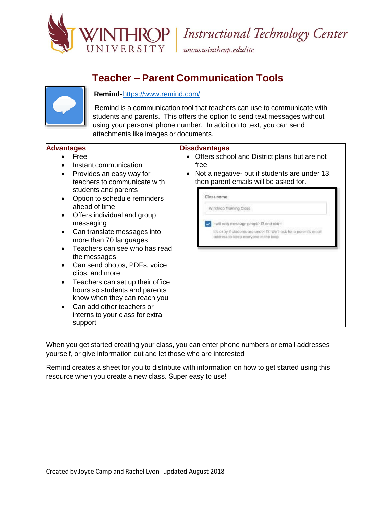

www.winthrop.edulitc

## **Teacher – Parent Communication Tools**



### **Remind-**<https://www.remind.com/>

Remind is a communication tool that teachers can use to communicate with students and parents. This offers the option to send text messages without using your personal phone number. In addition to text, you can send attachments like images or documents.

#### **Advantages Disadvantages** Free Offers school and District plans but are not • Instant communication free Not a negative- but if students are under 13, • Provides an easy way for then parent emails will be asked for. teachers to communicate with students and parents Closs nome • Option to schedule reminders ahead of time Winthrop Training Closs Offers individual and group messaging I will only message people 13 and older Can translate messages into It's okay if students are under 13. We'll ask for a parent's email address to keep everyone in the loop more than 70 languages • Teachers can see who has read the messages Can send photos, PDFs, voice clips, and more Teachers can set up their office hours so students and parents know when they can reach you Can add other teachers or interns to your class for extra support

When you get started creating your class, you can enter phone numbers or email addresses yourself, or give information out and let those who are interested

Remind creates a sheet for you to distribute with information on how to get started using this resource when you create a new class. Super easy to use!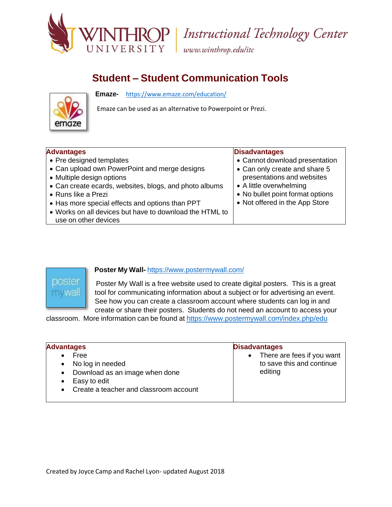

www.winthrop.edulitc

## **Student – Student Communication Tools**

**Emaze-** <https://www.emaze.com/education/>



Emaze can be used as an alternative to Powerpoint or Prezi.

### **Advantages**

- Pre designed templates
- Can upload own PowerPoint and merge designs
- Multiple design options
- Can create ecards, websites, blogs, and photo albums
- Runs like a Prezi
- Has more special effects and options than PPT
- Works on all devices but have to download the HTML to use on other devices

### **Disadvantages**

- Cannot download presentation
- Can only create and share 5 presentations and websites
- A little overwhelming
- No bullet point format options
- Not offered in the App Store



### **Poster My Wall-** <https://www.postermywall.com/>

Poster My Wall is a free website used to create digital posters. This is a great tool for communicating information about a subject or for advertising an event. See how you can create a classroom account where students can log in and create or share their posters. Students do not need an account to access your

classroom. More information can be found at <https://www.postermywall.com/index.php/edu>

| <b>Advantages</b>                                                                                                                                           | <b>Disadvantages</b>                                                 |
|-------------------------------------------------------------------------------------------------------------------------------------------------------------|----------------------------------------------------------------------|
| Free<br>No log in needed<br>$\bullet$<br>Download as an image when done<br>$\bullet$<br>Easy to edit<br>Create a teacher and classroom account<br>$\bullet$ | • There are fees if you want<br>to save this and continue<br>editing |